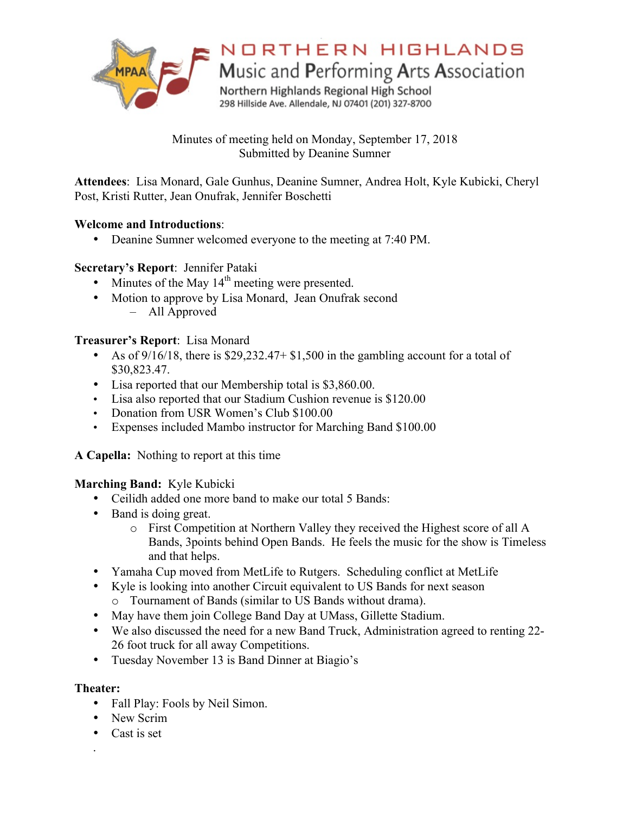

# NORTHERN HIGHLANDS

Music and Performing Arts Association

Northern Highlands Regional High School 298 Hillside Ave. Allendale, NJ 07401 (201) 327-8700

Minutes of meeting held on Monday, September 17, 2018 Submitted by Deanine Sumner

**Attendees**: Lisa Monard, Gale Gunhus, Deanine Sumner, Andrea Holt, Kyle Kubicki, Cheryl Post, Kristi Rutter, Jean Onufrak, Jennifer Boschetti

# **Welcome and Introductions**:

• Deanine Sumner welcomed everyone to the meeting at 7:40 PM.

# **Secretary's Report**: Jennifer Pataki

- Minutes of the May  $14<sup>th</sup>$  meeting were presented.
- Motion to approve by Lisa Monard, Jean Onufrak second – All Approved

# **Treasurer's Report**: Lisa Monard

- As of 9/16/18, there is \$29,232.47+ \$1,500 in the gambling account for a total of \$30,823.47.
- Lisa reported that our Membership total is \$3,860.00.
- Lisa also reported that our Stadium Cushion revenue is \$120.00
- Donation from USR Women's Club \$100.00
- Expenses included Mambo instructor for Marching Band \$100.00

**A Capella:** Nothing to report at this time

**Marching Band:** Kyle Kubicki

- Ceilidh added one more band to make our total 5 Bands:
- Band is doing great.
	- o First Competition at Northern Valley they received the Highest score of all A Bands, 3points behind Open Bands. He feels the music for the show is Timeless and that helps.
- Yamaha Cup moved from MetLife to Rutgers. Scheduling conflict at MetLife
- Kyle is looking into another Circuit equivalent to US Bands for next season
	- o Tournament of Bands (similar to US Bands without drama).
- May have them join College Band Day at UMass, Gillette Stadium.
- We also discussed the need for a new Band Truck, Administration agreed to renting 22- 26 foot truck for all away Competitions.
- Tuesday November 13 is Band Dinner at Biagio's

# **Theater:**

- Fall Play: Fools by Neil Simon.
- New Scrim
- Cast is set
- .